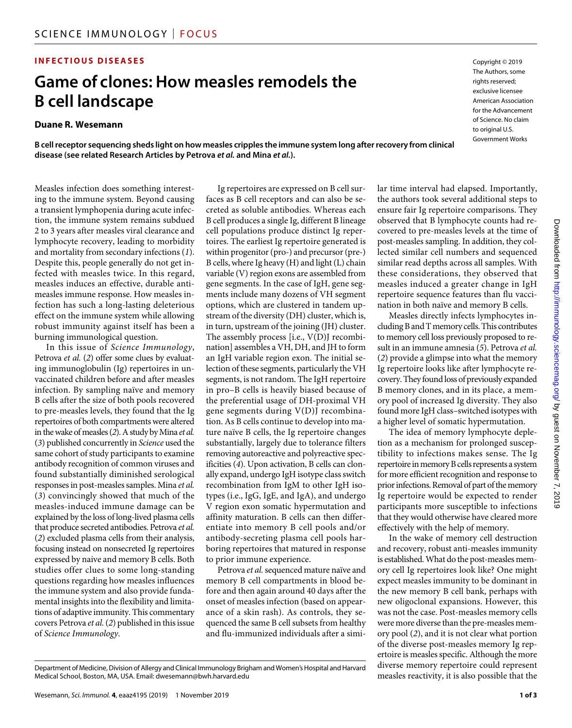## **INFECTIOUS DISEASES**

# **Game of clones: How measles remodels the B cell landscape**

#### **Duane R. Wesemann**

**B cell receptor sequencing sheds light on how measles cripples the immune system long after recovery from clinical disease (see related Research Articles by Petrova** *et al.* **and Mina** *et al.***).**

Measles infection does something interesting to the immune system. Beyond causing a transient lymphopenia during acute infection, the immune system remains subdued 2 to 3 years after measles viral clearance and lymphocyte recovery, leading to morbidity and mortality from secondary infections (*1*). Despite this, people generally do not get infected with measles twice. In this regard, measles induces an effective, durable antimeasles immune response. How measles infection has such a long-lasting deleterious effect on the immune system while allowing robust immunity against itself has been a burning immunological question.

In this issue of *Science Immunology*, Petrova *et al.* (*2*) offer some clues by evaluating immunoglobulin (Ig) repertoires in unvaccinated children before and after measles infection. By sampling naïve and memory B cells after the size of both pools recovered to pre-measles levels, they found that the Ig repertoires of both compartments were altered in the wake of measles (*2*). A study by Mina *et al.* (*3*) published concurrently in *Science* used the same cohort of study participants to examine antibody recognition of common viruses and found substantially diminished serological responses in post-measles samples. Mina *et al.* (*3*) convincingly showed that much of the measles-induced immune damage can be explained by the loss of long-lived plasma cells that produce secreted antibodies. Petrova *et al.* (*2*) excluded plasma cells from their analysis, focusing instead on nonsecreted Ig repertoires expressed by naive and memory B cells. Both studies offer clues to some long-standing questions regarding how measles influences the immune system and also provide fundamental insights into the flexibility and limitations of adaptive immunity. This commentary covers Petrova *et al.* (*2*) published in this issue of *Science Immunology*.

Ig repertoires are expressed on B cell surfaces as B cell receptors and can also be secreted as soluble antibodies. Whereas each B cell produces a single Ig, different B lineage cell populations produce distinct Ig repertoires. The earliest Ig repertoire generated is within progenitor (pro-) and precursor (pre-) B cells, where Ig heavy (H) and light (L) chain variable (V) region exons are assembled from gene segments. In the case of IgH, gene segments include many dozens of VH segment options, which are clustered in tandem upstream of the diversity (DH) cluster, which is, in turn, upstream of the joining (JH) cluster. The assembly process [i.e., V(D)J recombination] assembles a VH, DH, and JH to form an IgH variable region exon. The initial selection of these segments, particularly the VH segments, is not random. The IgH repertoire in pro–B cells is heavily biased because of the preferential usage of DH-proximal VH gene segments during V(D)J recombination. As B cells continue to develop into mature naïve B cells, the Ig repertoire changes substantially, largely due to tolerance filters removing autoreactive and polyreactive specificities (*4*). Upon activation, B cells can clonally expand, undergo IgH isotype class switch recombination from IgM to other IgH isotypes (i.e., IgG, IgE, and IgA), and undergo V region exon somatic hypermutation and affinity maturation. B cells can then differentiate into memory B cell pools and/or antibody-secreting plasma cell pools harboring repertoires that matured in response to prior immune experience.

Petrova *et al.* sequenced mature naïve and memory B cell compartments in blood before and then again around 40 days after the onset of measles infection (based on appearance of a skin rash). As controls, they sequenced the same B cell subsets from healthy and flu-immunized individuals after a similar time interval had elapsed. Importantly, the authors took several additional steps to ensure fair Ig repertoire comparisons. They observed that B lymphocyte counts had recovered to pre-measles levels at the time of post-measles sampling. In addition, they collected similar cell numbers and sequenced similar read depths across all samples. With these considerations, they observed that measles induced a greater change in IgH repertoire sequence features than flu vaccination in both naïve and memory B cells.

Copyright © 2019 The Authors, some rights reserved: exclusive licensee American Association for the Advancement of Science. No claim to original U.S. Government Works

Measles directly infects lymphocytes including B and T memory cells. This contributes to memory cell loss previously proposed to result in an immune amnesia (*5*). Petrova *et al.* (*2*) provide a glimpse into what the memory Ig repertoire looks like after lymphocyte recovery. They found loss of previously expanded B memory clones, and in its place, a memory pool of increased Ig diversity. They also found more IgH class–switched isotypes with a higher level of somatic hypermutation.

The idea of memory lymphocyte depletion as a mechanism for prolonged susceptibility to infections makes sense. The Ig repertoire in memory B cells represents a system for more efficient recognition and response to prior infections. Removal of part of the memory Ig repertoire would be expected to render participants more susceptible to infections that they would otherwise have cleared more effectively with the help of memory.

In the wake of memory cell destruction and recovery, robust anti-measles immunity is established. What do the post-measles memory cell Ig repertoires look like? One might expect measles immunity to be dominant in the new memory B cell bank, perhaps with new oligoclonal expansions. However, this was not the case. Post-measles memory cells were more diverse than the pre-measles memory pool (*2*), and it is not clear what portion of the diverse post-measles memory Ig repertoire is measles specific. Although the more diverse memory repertoire could represent measles reactivity, it is also possible that the

Downloaded from http://immunology.sciencemag.org/ by guest on November 7, 2019 by guest on November 7, 2019 <http://immunology.sciencemag.org/> Downloaded from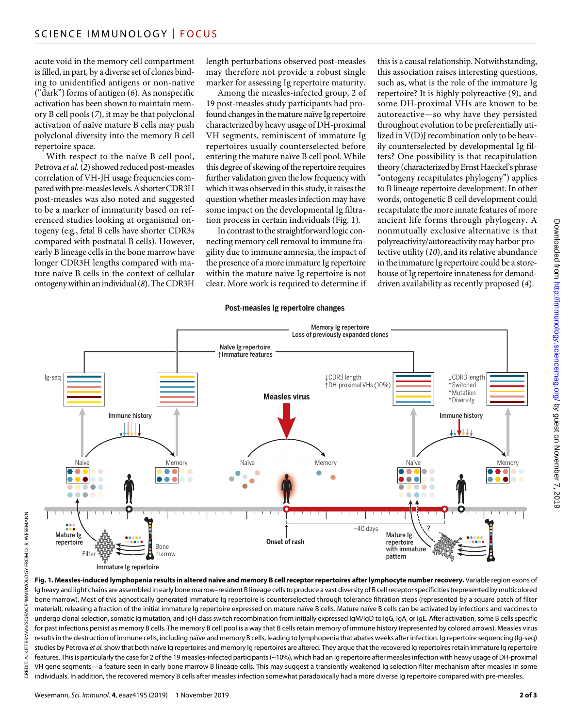acute void in the memory cell compartment is filled, in part, by a diverse set of clones binding to unidentified antigens or non-native ("dark") forms of antigen (*6*). As nonspecific activation has been shown to maintain memory B cell pools (*7*), it may be that polyclonal activation of naïve mature B cells may push polyclonal diversity into the memory B cell repertoire space.

With respect to the naïve B cell pool, Petrova *et al.* (*2*) showed reduced post-measles correlation of VH-JH usage frequencies compared with pre-measles levels. A shorter CDR3H post-measles was also noted and suggested to be a marker of immaturity based on referenced studies looking at organismal ontogeny (e.g., fetal B cells have shorter CDR3s compared with postnatal B cells). However, early B lineage cells in the bone marrow have longer CDR3H lengths compared with mature naïve B cells in the context of cellular ontogeny within an individual (*8*). The CDR3H

length perturbations observed post-measles may therefore not provide a robust single marker for assessing Ig repertoire maturity.

Among the measles-infected group, 2 of 19 post-measles study participants had profound changes in the mature naïve Ig repertoire characterized by heavy usage of DH-proximal VH segments, reminiscent of immature Ig repertoires usually counterselected before entering the mature naïve B cell pool. While this degree of skewing of the repertoire requires further validation given the low frequency with which it was observed in this study, it raises the question whether measles infection may have some impact on the developmental Ig filtration process in certain individuals (Fig. 1).

In contrast to the straightforward logic connecting memory cell removal to immune fragility due to immune amnesia, the impact of the presence of a more immature Ig repertoire within the mature naïve Ig repertoire is not clear. More work is required to determine if this is a causal relationship. Notwithstanding, this association raises interesting questions, such as, what is the role of the immature Ig repertoire? It is highly polyreactive (*9*), and some DH-proximal VHs are known to be autoreactive—so why have they persisted throughout evolution to be preferentially utilized in V(D)J recombination only to be heavily counterselected by developmental Ig filters? One possibility is that recapitulation theory (characterized by Ernst Haeckel's phrase "ontogeny recapitulates phylogeny") applies to B lineage repertoire development. In other words, ontogenetic B cell development could recapitulate the more innate features of more ancient life forms through phylogeny. A nonmutually exclusive alternative is that polyreactivity/autoreactivity may harbor protective utility (*10*), and its relative abundance in the immature Ig repertoire could be a storehouse of Ig repertoire innateness for demand-driven availability as recently proposed (*4*).

#### **Post-measles Ig repertoire changes**



Immature Ig repertoire

RMAN/SCIENCE IMMUNOLOGY FROM D. R. WESEMANN KITTERMAN/*SCIENCE IMMUNOLOGY* FROM D. R. WESEMANN Ë CREDIT: A. CREDIT

**Fig. 1. Measles-induced lymphopenia results in altered naïve and memory B cell receptor repertoires after lymphocyte number recovery.** Variable region exons of Ig heavy and light chains are assembled in early bone marrow–resident B lineage cells to produce a vast diversity of B cell receptor specificities (represented by multicolored bone marrow). Most of this agnostically generated immature Ig repertoire is counterselected through tolerance filtration steps (represented by a square patch of filter material), releasing a fraction of the initial immature Ig repertoire expressed on mature naïve B cells. Mature naïve B cells can be activated by infections and vaccines to undergo clonal selection, somatic Ig mutation, and IgH class switch recombination from initially expressed IgM/IgD to IgG, IgA, or IgE. After activation, some B cells specific for past infections persist as memory B cells. The memory B cell pool is a way that B cells retain memory of immune history (represented by colored arrows). Measles virus results in the destruction of immune cells, including naïve and memory B cells, leading to lymphopenia that abates weeks after infection. Ig repertoire sequencing (Ig-seq) studies by Petrova et al. show that both naïve Ig repertoires and memory Ig repertoires are altered. They argue that the recovered Ig repertoires retain immature Ig repertoire features. This is particularly the case for 2 of the 19 measles-infected participants (~10%), which had an Ig repertoire after measles infection with heavy usage of DH-proximal VH gene segments—a feature seen in early bone marrow B lineage cells. This may suggest a transiently weakened Ig selection filter mechanism after measles in some individuals. In addition, the recovered memory B cells after measles infection somewhat paradoxically had a more diverse Ig repertoire compared with pre-measles.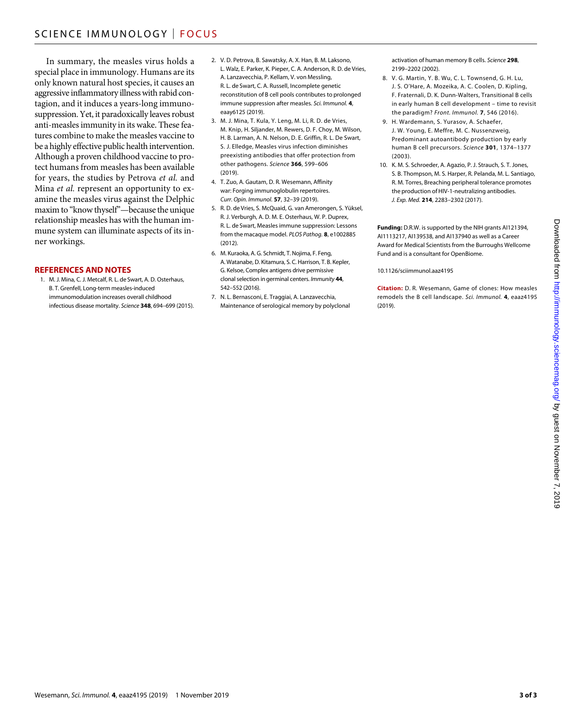In summary, the measles virus holds a special place in immunology. Humans are its only known natural host species, it causes an aggressive inflammatory illness with rabid contagion, and it induces a years-long immunosuppression. Yet, it paradoxically leaves robust anti-measles immunity in its wake. These features combine to make the measles vaccine to be a highly effective public health intervention. Although a proven childhood vaccine to protect humans from measles has been available for years, the studies by Petrova *et al.* and Mina *et al.* represent an opportunity to examine the measles virus against the Delphic maxim to "know thyself"—because the unique relationship measles has with the human immune system can illuminate aspects of its inner workings.

#### **REFERENCES AND NOTES**

1. M. J. Mina, C. J. Metcalf, R. L. de Swart, A. D. Osterhaus, B. T. Grenfell, Long-term measles-induced immunomodulation increases overall childhood infectious disease mortality. *Science* **348**, 694–699 (2015).

- 2. V. D. Petrova, B. Sawatsky, A. X. Han, B. M. Laksono, L. Walz, E. Parker, K. Pieper, C. A. Anderson, R. D. de Vries, A. Lanzavecchia, P. Kellam, V. von Messling, R. L. de Swart, C. A. Russell, Incomplete genetic reconstitution of B cell pools contributes to prolonged immune suppression after measles. *Sci. Immunol.* **4**, eaay6125 (2019).
- 3. M. J. Mina, T. Kula, Y. Leng, M. Li, R. D. de Vries, M. Knip, H. Siljander, M. Rewers, D. F. Choy, M. Wilson, H. B. Larman, A. N. Nelson, D. E. Griffin, R. L. De Swart, S. J. Elledge, Measles virus infection diminishes preexisting antibodies that offer protection from other pathogens. *Science* **366**, 599–606  $(2019)$
- 4. T. Zuo, A. Gautam, D. R. Wesemann, Affinity war: Forging immunoglobulin repertoires. *Curr. Opin. Immunol.* **57**, 32–39 (2019).
- 5. R. D. de Vries, S. McQuaid, G. van Amerongen, S. Yüksel, R. J. Verburgh, A. D. M. E. Osterhaus, W. P. Duprex, R. L. de Swart, Measles immune suppression: Lessons from the macaque model. *PLOS Pathog.* **8**, e1002885 (2012).
- 6. M. Kuraoka, A. G. Schmidt, T. Nojima, F. Feng, A. Watanabe, D. Kitamura, S. C. Harrison, T. B. Kepler, G. Kelsoe, Complex antigens drive permissive clonal selection ingerminal centers. *Immunity* **44**, 542–552 (2016).
- 7. N. L. Bernasconi, E. Traggiai, A. Lanzavecchia, Maintenance ofserological memory by polyclonal

activation of human memory B cells. *Science* **298**, 2199–2202 (2002).

- 8. V. G. Martin, Y. B. Wu, C. L. Townsend, G. H. Lu, J. S. O'Hare, A. Mozeika, A. C. Coolen, D. Kipling, F. Fraternali, D. K. Dunn-Walters, Transitional B cells in early human B cell development – time to revisit the paradigm? *Front. Immunol.* **7**, 546 (2016).
- 9. H. Wardemann, S. Yurasov, A. Schaefer, J. W. Young, E. Meffre, M. C. Nussenzweig, Predominant autoantibody production by early human B cell precursors. *Science* **301**, 1374–1377 (2003).
- 10. K. M. S. Schroeder, A. Agazio, P. J. Strauch, S. T. Jones, S. B. Thompson, M. S. Harper, R. Pelanda, M. L. Santiago, R. M. Torres, Breaching peripheral tolerance promotes the production of HIV-1-neutralizing antibodies. *J. Exp. Med.* **214**, 2283–2302 (2017).

**Funding:** D.R.W. is supported by the NIH grants AI121394, AI1113217, AI139538, and AI137940 as well as a Career Award for Medical Scientists from the Burroughs Wellcome Fund and is a consultant for OpenBiome.

#### 10.1126/sciimmunol.aaz4195

**Citation:** D. R. Wesemann, Game of clones: How measles remodels the B cell landscape. *Sci. Immunol.* **4**, eaaz4195 (2019).